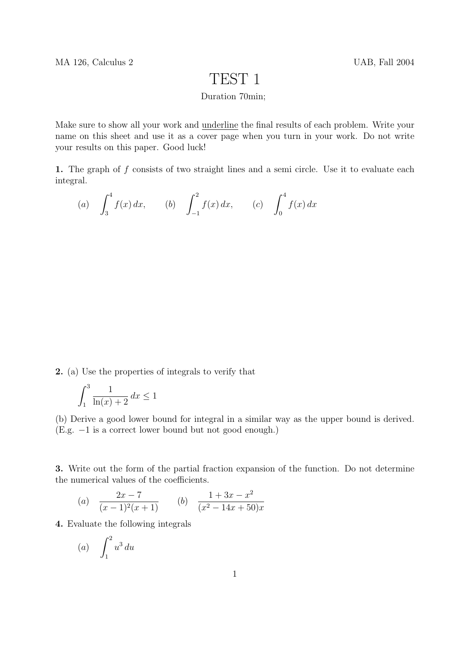## TEST 1

## Duration 70min;

Make sure to show all your work and underline the final results of each problem. Write your name on this sheet and use it as a cover page when you turn in your work. Do not write your results on this paper. Good luck!

1. The graph of f consists of two straight lines and a semi circle. Use it to evaluate each integral.

(a) 
$$
\int_3^4 f(x) dx
$$
, (b)  $\int_{-1}^2 f(x) dx$ , (c)  $\int_0^4 f(x) dx$ 

2. (a) Use the properties of integrals to verify that

$$
\int_1^3 \frac{1}{\ln(x) + 2} \, dx \le 1
$$

(b) Derive a good lower bound for integral in a similar way as the upper bound is derived. (E.g. −1 is a correct lower bound but not good enough.)

3. Write out the form of the partial fraction expansion of the function. Do not determine the numerical values of the coefficients.

(a) 
$$
\frac{2x-7}{(x-1)^2(x+1)}
$$
 (b) 
$$
\frac{1+3x-x^2}{(x^2-14x+50)x}
$$

4. Evaluate the following integrals

$$
(a) \quad \int_1^2 u^3 \, du
$$